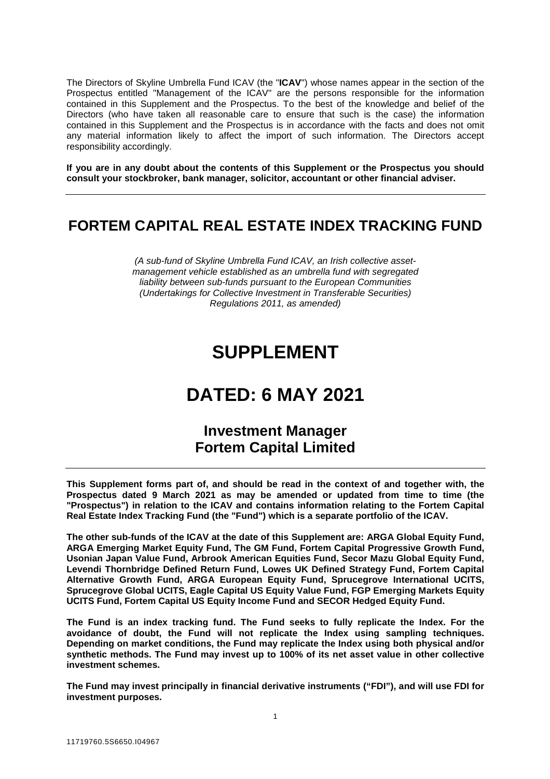The Directors of Skyline Umbrella Fund ICAV (the "**ICAV**") whose names appear in the section of the Prospectus entitled "Management of the ICAV" are the persons responsible for the information contained in this Supplement and the Prospectus. To the best of the knowledge and belief of the Directors (who have taken all reasonable care to ensure that such is the case) the information contained in this Supplement and the Prospectus is in accordance with the facts and does not omit any material information likely to affect the import of such information. The Directors accept responsibility accordingly.

**If you are in any doubt about the contents of this Supplement or the Prospectus you should consult your stockbroker, bank manager, solicitor, accountant or other financial adviser.** 

# **FORTEM CAPITAL REAL ESTATE INDEX TRACKING FUND**

*(A sub-fund of Skyline Umbrella Fund ICAV, an Irish collective assetmanagement vehicle established as an umbrella fund with segregated liability between sub-funds pursuant to the European Communities (Undertakings for Collective Investment in Transferable Securities) Regulations 2011, as amended)* 

# **SUPPLEMENT**

# **DATED: 6 MAY 2021**

# **Investment Manager Fortem Capital Limited**

**This Supplement forms part of, and should be read in the context of and together with, the Prospectus dated 9 March 2021 as may be amended or updated from time to time (the "Prospectus") in relation to the ICAV and contains information relating to the Fortem Capital Real Estate Index Tracking Fund (the "Fund") which is a separate portfolio of the ICAV.** 

**The other sub-funds of the ICAV at the date of this Supplement are: ARGA Global Equity Fund, ARGA Emerging Market Equity Fund, The GM Fund, Fortem Capital Progressive Growth Fund, Usonian Japan Value Fund, Arbrook American Equities Fund, Secor Mazu Global Equity Fund, Levendi Thornbridge Defined Return Fund, Lowes UK Defined Strategy Fund, Fortem Capital Alternative Growth Fund, ARGA European Equity Fund, Sprucegrove International UCITS, Sprucegrove Global UCITS, Eagle Capital US Equity Value Fund, FGP Emerging Markets Equity UCITS Fund, Fortem Capital US Equity Income Fund and SECOR Hedged Equity Fund.** 

**The Fund is an index tracking fund. The Fund seeks to fully replicate the Index. For the avoidance of doubt, the Fund will not replicate the Index using sampling techniques. Depending on market conditions, the Fund may replicate the Index using both physical and/or synthetic methods. The Fund may invest up to 100% of its net asset value in other collective investment schemes.** 

**The Fund may invest principally in financial derivative instruments ("FDI"), and will use FDI for investment purposes.**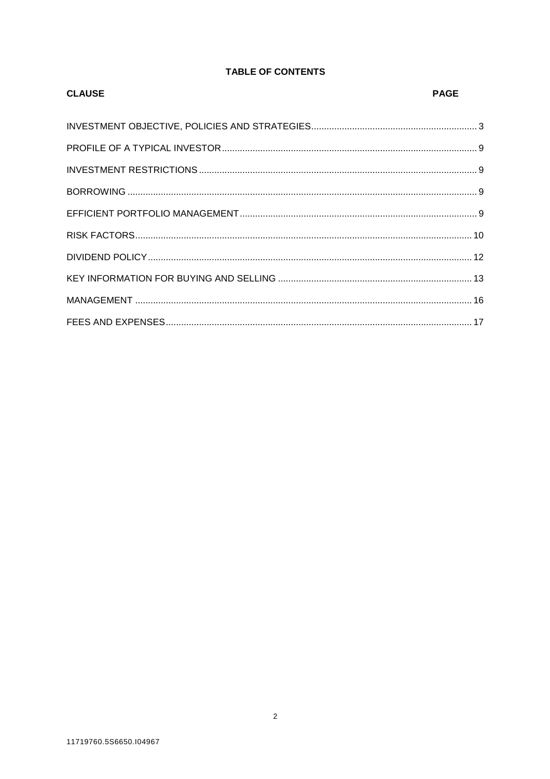# **TABLE OF CONTENTS**

| <b>CLAUSE</b> | PAGE |
|---------------|------|
|               |      |
|               |      |
|               |      |
|               |      |
|               |      |
|               |      |
|               |      |
|               |      |
|               |      |
|               |      |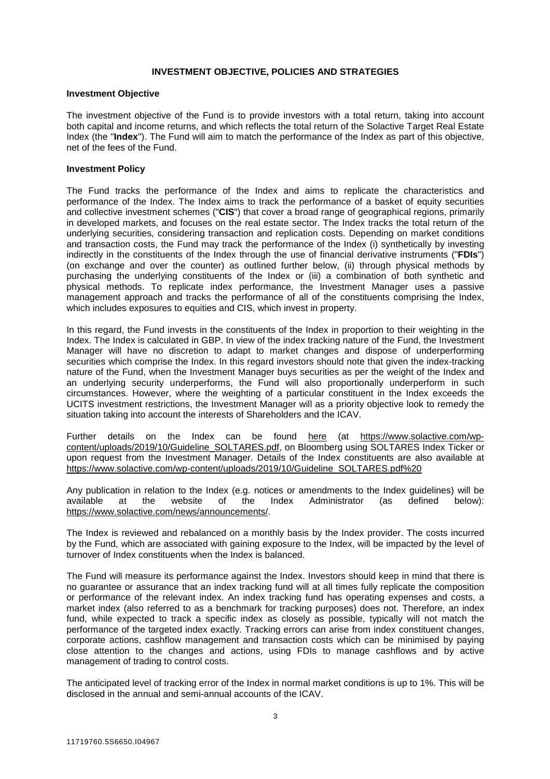# **INVESTMENT OBJECTIVE, POLICIES AND STRATEGIES**

### **Investment Objective**

The investment objective of the Fund is to provide investors with a total return, taking into account both capital and income returns, and which reflects the total return of the Solactive Target Real Estate Index (the "**Index**"). The Fund will aim to match the performance of the Index as part of this objective, net of the fees of the Fund.

## **Investment Policy**

The Fund tracks the performance of the Index and aims to replicate the characteristics and performance of the Index. The Index aims to track the performance of a basket of equity securities and collective investment schemes ("**CIS**") that cover a broad range of geographical regions, primarily in developed markets, and focuses on the real estate sector. The Index tracks the total return of the underlying securities, considering transaction and replication costs. Depending on market conditions and transaction costs, the Fund may track the performance of the Index (i) synthetically by investing indirectly in the constituents of the Index through the use of financial derivative instruments ("**FDIs**") (on exchange and over the counter) as outlined further below, (ii) through physical methods by purchasing the underlying constituents of the Index or (iii) a combination of both synthetic and physical methods. To replicate index performance, the Investment Manager uses a passive management approach and tracks the performance of all of the constituents comprising the Index, which includes exposures to equities and CIS, which invest in property.

In this regard, the Fund invests in the constituents of the Index in proportion to their weighting in the Index. The Index is calculated in GBP. In view of the index tracking nature of the Fund, the Investment Manager will have no discretion to adapt to market changes and dispose of underperforming securities which comprise the Index. In this regard investors should note that given the index-tracking nature of the Fund, when the Investment Manager buys securities as per the weight of the Index and an underlying security underperforms, the Fund will also proportionally underperform in such circumstances. However, where the weighting of a particular constituent in the Index exceeds the UCITS investment restrictions, the Investment Manager will as a priority objective look to remedy the situation taking into account the interests of Shareholders and the ICAV.

Further details on the Index can be found here (at https://www.solactive.com/wpcontent/uploads/2019/10/Guideline\_SOLTARES.pdf, on Bloomberg using SOLTARES Index Ticker or upon request from the Investment Manager. Details of the Index constituents are also available at https://www.solactive.com/wp-content/uploads/2019/10/Guideline\_SOLTARES.pdf%20

Any publication in relation to the Index (e.g. notices or amendments to the Index guidelines) will be available at the website of the Index Administrator (as defined below): available at the website of the Index Administrator (as defined below): https://www.solactive.com/news/announcements/.

The Index is reviewed and rebalanced on a monthly basis by the Index provider. The costs incurred by the Fund, which are associated with gaining exposure to the Index, will be impacted by the level of turnover of Index constituents when the Index is balanced.

The Fund will measure its performance against the Index. Investors should keep in mind that there is no guarantee or assurance that an index tracking fund will at all times fully replicate the composition or performance of the relevant index. An index tracking fund has operating expenses and costs, a market index (also referred to as a benchmark for tracking purposes) does not. Therefore, an index fund, while expected to track a specific index as closely as possible, typically will not match the performance of the targeted index exactly. Tracking errors can arise from index constituent changes, corporate actions, cashflow management and transaction costs which can be minimised by paying close attention to the changes and actions, using FDIs to manage cashflows and by active management of trading to control costs.

The anticipated level of tracking error of the Index in normal market conditions is up to 1%. This will be disclosed in the annual and semi-annual accounts of the ICAV.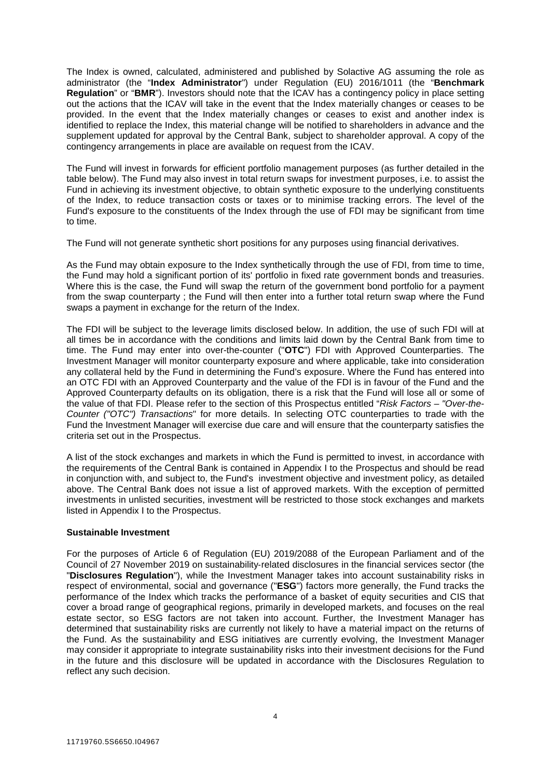The Index is owned, calculated, administered and published by Solactive AG assuming the role as administrator (the "**Index Administrator**") under Regulation (EU) 2016/1011 (the "**Benchmark Regulation**" or "**BMR**"). Investors should note that the ICAV has a contingency policy in place setting out the actions that the ICAV will take in the event that the Index materially changes or ceases to be provided. In the event that the Index materially changes or ceases to exist and another index is identified to replace the Index, this material change will be notified to shareholders in advance and the supplement updated for approval by the Central Bank, subject to shareholder approval. A copy of the contingency arrangements in place are available on request from the ICAV.

The Fund will invest in forwards for efficient portfolio management purposes (as further detailed in the table below). The Fund may also invest in total return swaps for investment purposes, i.e. to assist the Fund in achieving its investment objective, to obtain synthetic exposure to the underlying constituents of the Index, to reduce transaction costs or taxes or to minimise tracking errors. The level of the Fund's exposure to the constituents of the Index through the use of FDI may be significant from time to time.

The Fund will not generate synthetic short positions for any purposes using financial derivatives.

As the Fund may obtain exposure to the Index synthetically through the use of FDI, from time to time, the Fund may hold a significant portion of its' portfolio in fixed rate government bonds and treasuries. Where this is the case, the Fund will swap the return of the government bond portfolio for a payment from the swap counterparty ; the Fund will then enter into a further total return swap where the Fund swaps a payment in exchange for the return of the Index.

The FDI will be subject to the leverage limits disclosed below. In addition, the use of such FDI will at all times be in accordance with the conditions and limits laid down by the Central Bank from time to time. The Fund may enter into over-the-counter ("**OTC**") FDI with Approved Counterparties. The Investment Manager will monitor counterparty exposure and where applicable, take into consideration any collateral held by the Fund in determining the Fund's exposure. Where the Fund has entered into an OTC FDI with an Approved Counterparty and the value of the FDI is in favour of the Fund and the Approved Counterparty defaults on its obligation, there is a risk that the Fund will lose all or some of the value of that FDI. Please refer to the section of this Prospectus entitled "*Risk Factors – "Over-the-Counter ("OTC") Transactions*" for more details. In selecting OTC counterparties to trade with the Fund the Investment Manager will exercise due care and will ensure that the counterparty satisfies the criteria set out in the Prospectus.

A list of the stock exchanges and markets in which the Fund is permitted to invest, in accordance with the requirements of the Central Bank is contained in Appendix I to the Prospectus and should be read in conjunction with, and subject to, the Fund's investment objective and investment policy, as detailed above. The Central Bank does not issue a list of approved markets. With the exception of permitted investments in unlisted securities, investment will be restricted to those stock exchanges and markets listed in Appendix I to the Prospectus.

# **Sustainable Investment**

For the purposes of Article 6 of Regulation (EU) 2019/2088 of the European Parliament and of the Council of 27 November 2019 on sustainability-related disclosures in the financial services sector (the "**Disclosures Regulation**"), while the Investment Manager takes into account sustainability risks in respect of environmental, social and governance ("**ESG**") factors more generally, the Fund tracks the performance of the Index which tracks the performance of a basket of equity securities and CIS that cover a broad range of geographical regions, primarily in developed markets, and focuses on the real estate sector, so ESG factors are not taken into account. Further, the Investment Manager has determined that sustainability risks are currently not likely to have a material impact on the returns of the Fund. As the sustainability and ESG initiatives are currently evolving, the Investment Manager may consider it appropriate to integrate sustainability risks into their investment decisions for the Fund in the future and this disclosure will be updated in accordance with the Disclosures Regulation to reflect any such decision.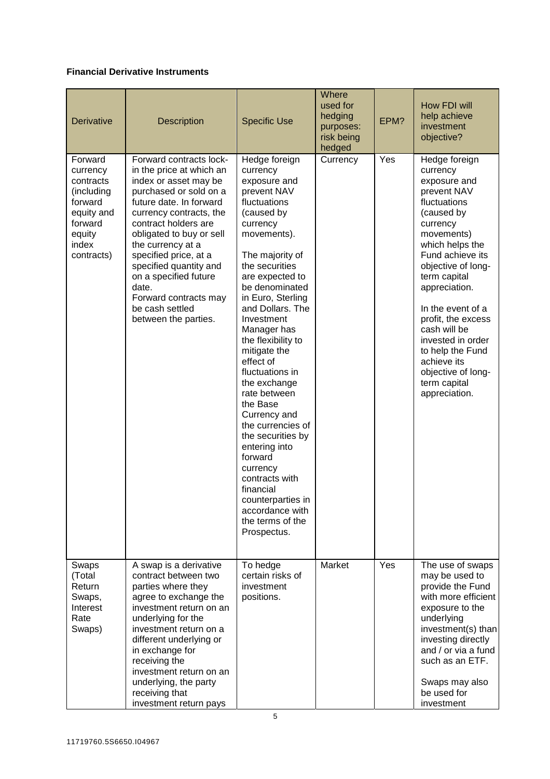# **Financial Derivative Instruments**

| Derivative                                                                                                          | Description                                                                                                                                                                                                                                                                                                                                                                                    | <b>Specific Use</b>                                                                                                                                                                                                                                                                                                                                                                                                                                                                                                                                                                             | Where<br>used for<br>hedging<br>purposes:<br>risk being<br>hedged | EPM? | How FDI will<br>help achieve<br>investment<br>objective?                                                                                                                                                                                                                                                                                                                                 |
|---------------------------------------------------------------------------------------------------------------------|------------------------------------------------------------------------------------------------------------------------------------------------------------------------------------------------------------------------------------------------------------------------------------------------------------------------------------------------------------------------------------------------|-------------------------------------------------------------------------------------------------------------------------------------------------------------------------------------------------------------------------------------------------------------------------------------------------------------------------------------------------------------------------------------------------------------------------------------------------------------------------------------------------------------------------------------------------------------------------------------------------|-------------------------------------------------------------------|------|------------------------------------------------------------------------------------------------------------------------------------------------------------------------------------------------------------------------------------------------------------------------------------------------------------------------------------------------------------------------------------------|
| Forward<br>currency<br>contracts<br>(including<br>forward<br>equity and<br>forward<br>equity<br>index<br>contracts) | Forward contracts lock-<br>in the price at which an<br>index or asset may be<br>purchased or sold on a<br>future date. In forward<br>currency contracts, the<br>contract holders are<br>obligated to buy or sell<br>the currency at a<br>specified price, at a<br>specified quantity and<br>on a specified future<br>date.<br>Forward contracts may<br>be cash settled<br>between the parties. | Hedge foreign<br>currency<br>exposure and<br>prevent NAV<br>fluctuations<br>(caused by<br>currency<br>movements).<br>The majority of<br>the securities<br>are expected to<br>be denominated<br>in Euro, Sterling<br>and Dollars. The<br>Investment<br>Manager has<br>the flexibility to<br>mitigate the<br>effect of<br>fluctuations in<br>the exchange<br>rate between<br>the Base<br>Currency and<br>the currencies of<br>the securities by<br>entering into<br>forward<br>currency<br>contracts with<br>financial<br>counterparties in<br>accordance with<br>the terms of the<br>Prospectus. | Currency                                                          | Yes  | Hedge foreign<br>currency<br>exposure and<br>prevent NAV<br>fluctuations<br>(caused by<br>currency<br>movements)<br>which helps the<br>Fund achieve its<br>objective of long-<br>term capital<br>appreciation.<br>In the event of a<br>profit, the excess<br>cash will be<br>invested in order<br>to help the Fund<br>achieve its<br>objective of long-<br>term capital<br>appreciation. |
| Swaps<br>(Total<br>Return<br>Swaps,<br>Interest<br>Rate<br>Swaps)                                                   | A swap is a derivative<br>contract between two<br>parties where they<br>agree to exchange the<br>investment return on an<br>underlying for the<br>investment return on a<br>different underlying or<br>in exchange for<br>receiving the<br>investment return on an<br>underlying, the party<br>receiving that<br>investment return pays                                                        | To hedge<br>certain risks of<br>investment<br>positions.                                                                                                                                                                                                                                                                                                                                                                                                                                                                                                                                        | Market                                                            | Yes  | The use of swaps<br>may be used to<br>provide the Fund<br>with more efficient<br>exposure to the<br>underlying<br>investment(s) than<br>investing directly<br>and / or via a fund<br>such as an ETF.<br>Swaps may also<br>be used for<br>investment                                                                                                                                      |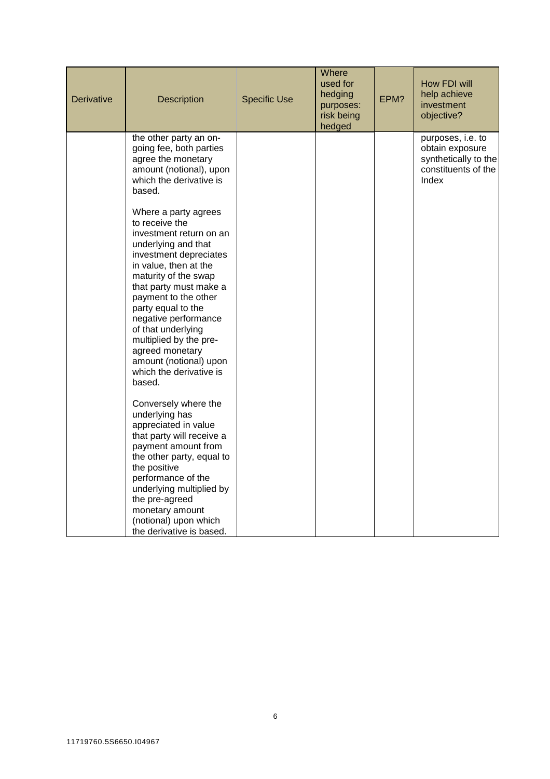| Derivative | <b>Description</b>                                                                                                                                                                                                                                                                                                                                                                                                                                                      | <b>Specific Use</b> | Where<br>used for<br>hedging<br>purposes:<br>risk being<br>hedged | EPM? | How FDI will<br>help achieve<br>investment<br>objective?                                     |
|------------|-------------------------------------------------------------------------------------------------------------------------------------------------------------------------------------------------------------------------------------------------------------------------------------------------------------------------------------------------------------------------------------------------------------------------------------------------------------------------|---------------------|-------------------------------------------------------------------|------|----------------------------------------------------------------------------------------------|
|            | the other party an on-<br>going fee, both parties<br>agree the monetary<br>amount (notional), upon<br>which the derivative is<br>based.                                                                                                                                                                                                                                                                                                                                 |                     |                                                                   |      | purposes, i.e. to<br>obtain exposure<br>synthetically to the<br>constituents of the<br>Index |
|            | Where a party agrees<br>to receive the<br>investment return on an<br>underlying and that<br>investment depreciates<br>in value, then at the<br>maturity of the swap<br>that party must make a<br>payment to the other<br>party equal to the<br>negative performance<br>of that underlying<br>multiplied by the pre-<br>agreed monetary<br>amount (notional) upon<br>which the derivative is<br>based.<br>Conversely where the<br>underlying has<br>appreciated in value |                     |                                                                   |      |                                                                                              |
|            | that party will receive a<br>payment amount from<br>the other party, equal to<br>the positive<br>performance of the<br>underlying multiplied by<br>the pre-agreed<br>monetary amount<br>(notional) upon which<br>the derivative is based.                                                                                                                                                                                                                               |                     |                                                                   |      |                                                                                              |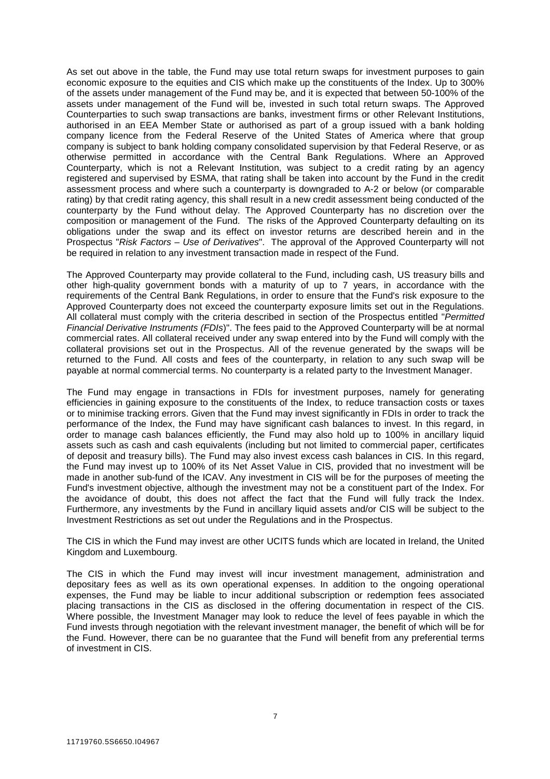As set out above in the table, the Fund may use total return swaps for investment purposes to gain economic exposure to the equities and CIS which make up the constituents of the Index. Up to 300% of the assets under management of the Fund may be, and it is expected that between 50-100% of the assets under management of the Fund will be, invested in such total return swaps. The Approved Counterparties to such swap transactions are banks, investment firms or other Relevant Institutions, authorised in an EEA Member State or authorised as part of a group issued with a bank holding company licence from the Federal Reserve of the United States of America where that group company is subject to bank holding company consolidated supervision by that Federal Reserve, or as otherwise permitted in accordance with the Central Bank Regulations. Where an Approved Counterparty, which is not a Relevant Institution, was subject to a credit rating by an agency registered and supervised by ESMA, that rating shall be taken into account by the Fund in the credit assessment process and where such a counterparty is downgraded to A-2 or below (or comparable rating) by that credit rating agency, this shall result in a new credit assessment being conducted of the counterparty by the Fund without delay. The Approved Counterparty has no discretion over the composition or management of the Fund. The risks of the Approved Counterparty defaulting on its obligations under the swap and its effect on investor returns are described herein and in the Prospectus "*Risk Factors – Use of Derivatives*". The approval of the Approved Counterparty will not be required in relation to any investment transaction made in respect of the Fund.

The Approved Counterparty may provide collateral to the Fund, including cash, US treasury bills and other high-quality government bonds with a maturity of up to 7 years, in accordance with the requirements of the Central Bank Regulations, in order to ensure that the Fund's risk exposure to the Approved Counterparty does not exceed the counterparty exposure limits set out in the Regulations. All collateral must comply with the criteria described in section of the Prospectus entitled "*Permitted Financial Derivative Instruments (FDIs*)". The fees paid to the Approved Counterparty will be at normal commercial rates. All collateral received under any swap entered into by the Fund will comply with the collateral provisions set out in the Prospectus. All of the revenue generated by the swaps will be returned to the Fund. All costs and fees of the counterparty, in relation to any such swap will be payable at normal commercial terms. No counterparty is a related party to the Investment Manager.

The Fund may engage in transactions in FDIs for investment purposes, namely for generating efficiencies in gaining exposure to the constituents of the Index, to reduce transaction costs or taxes or to minimise tracking errors. Given that the Fund may invest significantly in FDIs in order to track the performance of the Index, the Fund may have significant cash balances to invest. In this regard, in order to manage cash balances efficiently, the Fund may also hold up to 100% in ancillary liquid assets such as cash and cash equivalents (including but not limited to commercial paper, certificates of deposit and treasury bills). The Fund may also invest excess cash balances in CIS. In this regard, the Fund may invest up to 100% of its Net Asset Value in CIS, provided that no investment will be made in another sub-fund of the ICAV. Any investment in CIS will be for the purposes of meeting the Fund's investment objective, although the investment may not be a constituent part of the Index. For the avoidance of doubt, this does not affect the fact that the Fund will fully track the Index. Furthermore, any investments by the Fund in ancillary liquid assets and/or CIS will be subject to the Investment Restrictions as set out under the Regulations and in the Prospectus.

The CIS in which the Fund may invest are other UCITS funds which are located in Ireland, the United Kingdom and Luxembourg.

The CIS in which the Fund may invest will incur investment management, administration and depositary fees as well as its own operational expenses. In addition to the ongoing operational expenses, the Fund may be liable to incur additional subscription or redemption fees associated placing transactions in the CIS as disclosed in the offering documentation in respect of the CIS. Where possible, the Investment Manager may look to reduce the level of fees payable in which the Fund invests through negotiation with the relevant investment manager, the benefit of which will be for the Fund. However, there can be no guarantee that the Fund will benefit from any preferential terms of investment in CIS.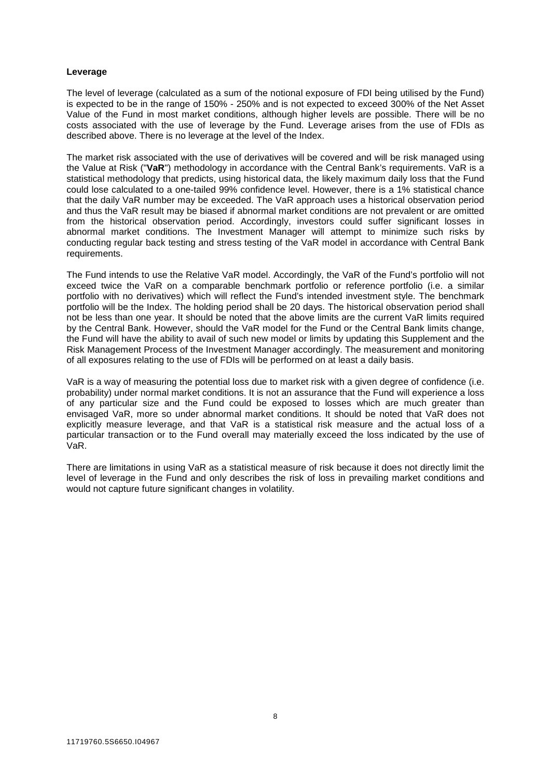## **Leverage**

The level of leverage (calculated as a sum of the notional exposure of FDI being utilised by the Fund) is expected to be in the range of 150% - 250% and is not expected to exceed 300% of the Net Asset Value of the Fund in most market conditions, although higher levels are possible. There will be no costs associated with the use of leverage by the Fund. Leverage arises from the use of FDIs as described above. There is no leverage at the level of the Index.

The market risk associated with the use of derivatives will be covered and will be risk managed using the Value at Risk ("**VaR**") methodology in accordance with the Central Bank's requirements. VaR is a statistical methodology that predicts, using historical data, the likely maximum daily loss that the Fund could lose calculated to a one-tailed 99% confidence level. However, there is a 1% statistical chance that the daily VaR number may be exceeded. The VaR approach uses a historical observation period and thus the VaR result may be biased if abnormal market conditions are not prevalent or are omitted from the historical observation period. Accordingly, investors could suffer significant losses in abnormal market conditions. The Investment Manager will attempt to minimize such risks by conducting regular back testing and stress testing of the VaR model in accordance with Central Bank requirements.

The Fund intends to use the Relative VaR model. Accordingly, the VaR of the Fund's portfolio will not exceed twice the VaR on a comparable benchmark portfolio or reference portfolio (i.e. a similar portfolio with no derivatives) which will reflect the Fund's intended investment style. The benchmark portfolio will be the Index. The holding period shall be 20 days. The historical observation period shall not be less than one year. It should be noted that the above limits are the current VaR limits required by the Central Bank. However, should the VaR model for the Fund or the Central Bank limits change, the Fund will have the ability to avail of such new model or limits by updating this Supplement and the Risk Management Process of the Investment Manager accordingly. The measurement and monitoring of all exposures relating to the use of FDIs will be performed on at least a daily basis.

VaR is a way of measuring the potential loss due to market risk with a given degree of confidence (i.e. probability) under normal market conditions. It is not an assurance that the Fund will experience a loss of any particular size and the Fund could be exposed to losses which are much greater than envisaged VaR, more so under abnormal market conditions. It should be noted that VaR does not explicitly measure leverage, and that VaR is a statistical risk measure and the actual loss of a particular transaction or to the Fund overall may materially exceed the loss indicated by the use of VaR.

There are limitations in using VaR as a statistical measure of risk because it does not directly limit the level of leverage in the Fund and only describes the risk of loss in prevailing market conditions and would not capture future significant changes in volatility.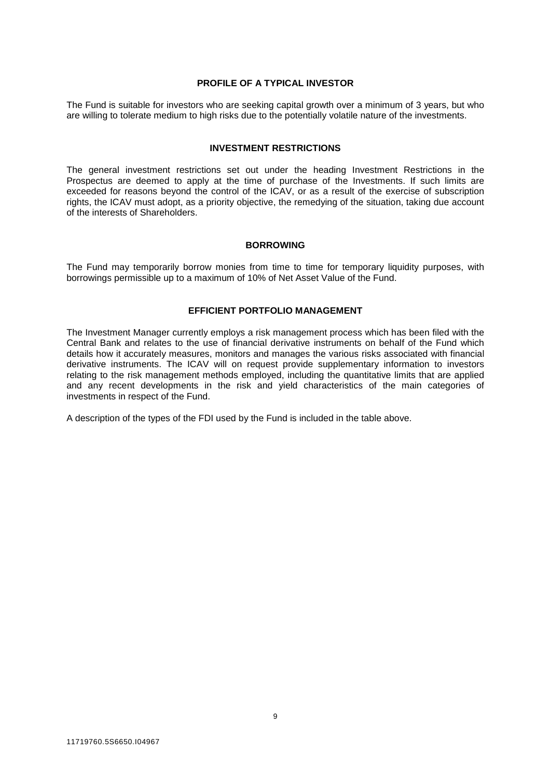## **PROFILE OF A TYPICAL INVESTOR**

The Fund is suitable for investors who are seeking capital growth over a minimum of 3 years, but who are willing to tolerate medium to high risks due to the potentially volatile nature of the investments.

#### **INVESTMENT RESTRICTIONS**

The general investment restrictions set out under the heading Investment Restrictions in the Prospectus are deemed to apply at the time of purchase of the Investments. If such limits are exceeded for reasons beyond the control of the ICAV, or as a result of the exercise of subscription rights, the ICAV must adopt, as a priority objective, the remedying of the situation, taking due account of the interests of Shareholders.

#### **BORROWING**

The Fund may temporarily borrow monies from time to time for temporary liquidity purposes, with borrowings permissible up to a maximum of 10% of Net Asset Value of the Fund.

# **EFFICIENT PORTFOLIO MANAGEMENT**

The Investment Manager currently employs a risk management process which has been filed with the Central Bank and relates to the use of financial derivative instruments on behalf of the Fund which details how it accurately measures, monitors and manages the various risks associated with financial derivative instruments. The ICAV will on request provide supplementary information to investors relating to the risk management methods employed, including the quantitative limits that are applied and any recent developments in the risk and yield characteristics of the main categories of investments in respect of the Fund.

A description of the types of the FDI used by the Fund is included in the table above.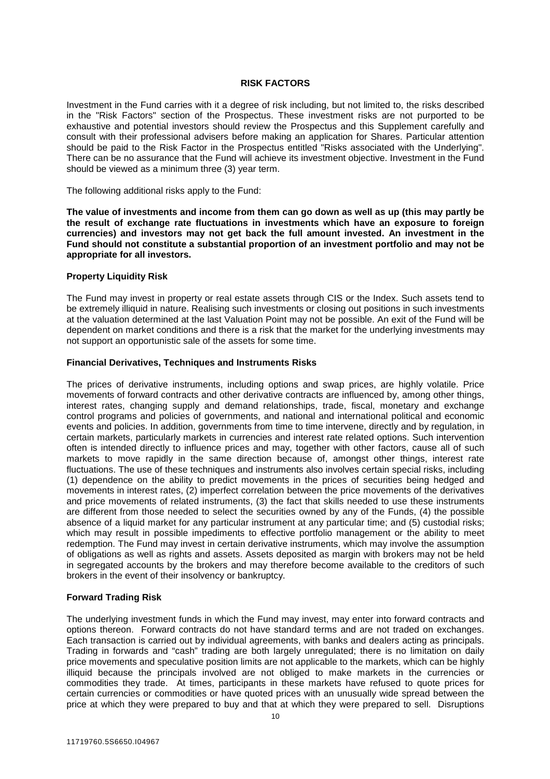# **RISK FACTORS**

Investment in the Fund carries with it a degree of risk including, but not limited to, the risks described in the "Risk Factors" section of the Prospectus. These investment risks are not purported to be exhaustive and potential investors should review the Prospectus and this Supplement carefully and consult with their professional advisers before making an application for Shares. Particular attention should be paid to the Risk Factor in the Prospectus entitled "Risks associated with the Underlying". There can be no assurance that the Fund will achieve its investment objective. Investment in the Fund should be viewed as a minimum three (3) year term.

The following additional risks apply to the Fund:

**The value of investments and income from them can go down as well as up (this may partly be the result of exchange rate fluctuations in investments which have an exposure to foreign currencies) and investors may not get back the full amount invested. An investment in the Fund should not constitute a substantial proportion of an investment portfolio and may not be appropriate for all investors.** 

# **Property Liquidity Risk**

The Fund may invest in property or real estate assets through CIS or the Index. Such assets tend to be extremely illiquid in nature. Realising such investments or closing out positions in such investments at the valuation determined at the last Valuation Point may not be possible. An exit of the Fund will be dependent on market conditions and there is a risk that the market for the underlying investments may not support an opportunistic sale of the assets for some time.

# **Financial Derivatives, Techniques and Instruments Risks**

The prices of derivative instruments, including options and swap prices, are highly volatile. Price movements of forward contracts and other derivative contracts are influenced by, among other things, interest rates, changing supply and demand relationships, trade, fiscal, monetary and exchange control programs and policies of governments, and national and international political and economic events and policies. In addition, governments from time to time intervene, directly and by regulation, in certain markets, particularly markets in currencies and interest rate related options. Such intervention often is intended directly to influence prices and may, together with other factors, cause all of such markets to move rapidly in the same direction because of, amongst other things, interest rate fluctuations. The use of these techniques and instruments also involves certain special risks, including (1) dependence on the ability to predict movements in the prices of securities being hedged and movements in interest rates, (2) imperfect correlation between the price movements of the derivatives and price movements of related instruments, (3) the fact that skills needed to use these instruments are different from those needed to select the securities owned by any of the Funds, (4) the possible absence of a liquid market for any particular instrument at any particular time; and (5) custodial risks; which may result in possible impediments to effective portfolio management or the ability to meet redemption. The Fund may invest in certain derivative instruments, which may involve the assumption of obligations as well as rights and assets. Assets deposited as margin with brokers may not be held in segregated accounts by the brokers and may therefore become available to the creditors of such brokers in the event of their insolvency or bankruptcy.

# **Forward Trading Risk**

The underlying investment funds in which the Fund may invest, may enter into forward contracts and options thereon. Forward contracts do not have standard terms and are not traded on exchanges. Each transaction is carried out by individual agreements, with banks and dealers acting as principals. Trading in forwards and "cash" trading are both largely unregulated; there is no limitation on daily price movements and speculative position limits are not applicable to the markets, which can be highly illiquid because the principals involved are not obliged to make markets in the currencies or commodities they trade. At times, participants in these markets have refused to quote prices for certain currencies or commodities or have quoted prices with an unusually wide spread between the price at which they were prepared to buy and that at which they were prepared to sell. Disruptions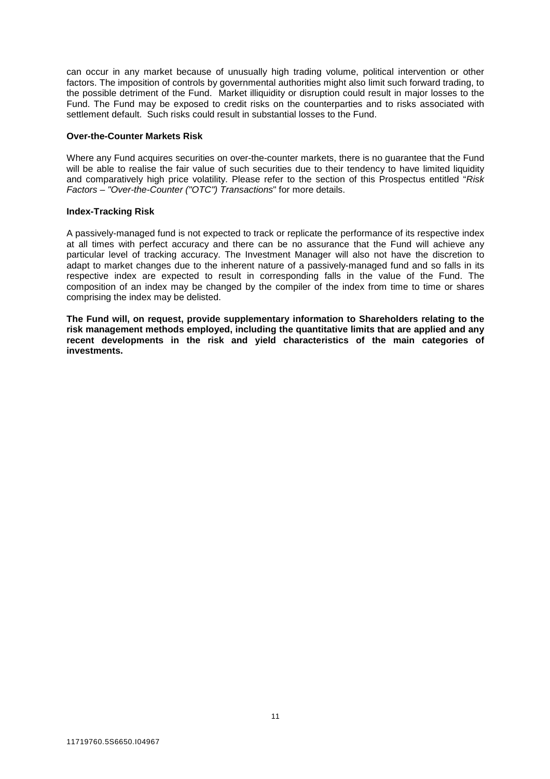can occur in any market because of unusually high trading volume, political intervention or other factors. The imposition of controls by governmental authorities might also limit such forward trading, to the possible detriment of the Fund. Market illiquidity or disruption could result in major losses to the Fund. The Fund may be exposed to credit risks on the counterparties and to risks associated with settlement default. Such risks could result in substantial losses to the Fund.

# **Over-the-Counter Markets Risk**

Where any Fund acquires securities on over-the-counter markets, there is no guarantee that the Fund will be able to realise the fair value of such securities due to their tendency to have limited liquidity and comparatively high price volatility. Please refer to the section of this Prospectus entitled "*Risk Factors – "Over-the-Counter ("OTC") Transactions*" for more details.

# **Index-Tracking Risk**

A passively-managed fund is not expected to track or replicate the performance of its respective index at all times with perfect accuracy and there can be no assurance that the Fund will achieve any particular level of tracking accuracy. The Investment Manager will also not have the discretion to adapt to market changes due to the inherent nature of a passively-managed fund and so falls in its respective index are expected to result in corresponding falls in the value of the Fund. The composition of an index may be changed by the compiler of the index from time to time or shares comprising the index may be delisted.

**The Fund will, on request, provide supplementary information to Shareholders relating to the risk management methods employed, including the quantitative limits that are applied and any recent developments in the risk and yield characteristics of the main categories of investments.**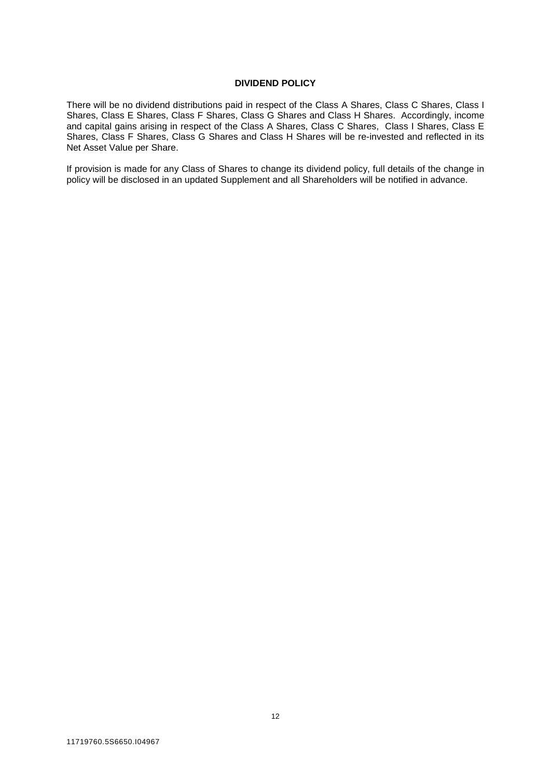# **DIVIDEND POLICY**

There will be no dividend distributions paid in respect of the Class A Shares, Class C Shares, Class I Shares, Class E Shares, Class F Shares, Class G Shares and Class H Shares. Accordingly, income and capital gains arising in respect of the Class A Shares, Class C Shares, Class I Shares, Class E Shares, Class F Shares, Class G Shares and Class H Shares will be re-invested and reflected in its Net Asset Value per Share.

If provision is made for any Class of Shares to change its dividend policy, full details of the change in policy will be disclosed in an updated Supplement and all Shareholders will be notified in advance.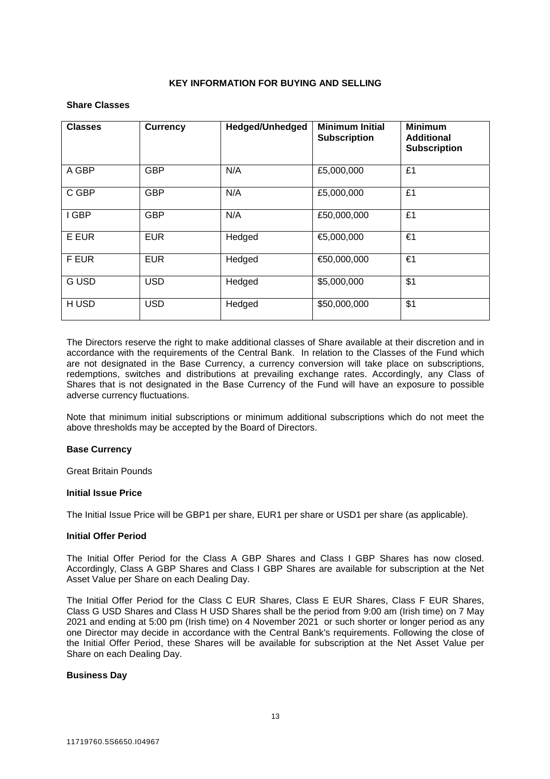# **KEY INFORMATION FOR BUYING AND SELLING**

# **Share Classes**

| <b>Classes</b> | <b>Currency</b> | Hedged/Unhedged | <b>Minimum Initial</b><br><b>Subscription</b> | <b>Minimum</b><br><b>Additional</b><br><b>Subscription</b> |
|----------------|-----------------|-----------------|-----------------------------------------------|------------------------------------------------------------|
| A GBP          | <b>GBP</b>      | N/A             | £5,000,000                                    | £1                                                         |
| C GBP          | <b>GBP</b>      | N/A             | £5,000,000                                    | £1                                                         |
| I GBP          | <b>GBP</b>      | N/A             | £50,000,000                                   | £1                                                         |
| E EUR          | <b>EUR</b>      | Hedged          | €5,000,000                                    | €1                                                         |
| F EUR          | <b>EUR</b>      | Hedged          | €50,000,000                                   | €1                                                         |
| <b>GUSD</b>    | <b>USD</b>      | Hedged          | \$5,000,000                                   | \$1                                                        |
| H USD          | <b>USD</b>      | Hedged          | \$50,000,000                                  | \$1                                                        |

The Directors reserve the right to make additional classes of Share available at their discretion and in accordance with the requirements of the Central Bank. In relation to the Classes of the Fund which are not designated in the Base Currency, a currency conversion will take place on subscriptions, redemptions, switches and distributions at prevailing exchange rates. Accordingly, any Class of Shares that is not designated in the Base Currency of the Fund will have an exposure to possible adverse currency fluctuations.

Note that minimum initial subscriptions or minimum additional subscriptions which do not meet the above thresholds may be accepted by the Board of Directors.

# **Base Currency**

Great Britain Pounds

# **Initial Issue Price**

The Initial Issue Price will be GBP1 per share, EUR1 per share or USD1 per share (as applicable).

# **Initial Offer Period**

The Initial Offer Period for the Class A GBP Shares and Class I GBP Shares has now closed. Accordingly, Class A GBP Shares and Class I GBP Shares are available for subscription at the Net Asset Value per Share on each Dealing Day.

The Initial Offer Period for the Class C EUR Shares, Class E EUR Shares, Class F EUR Shares, Class G USD Shares and Class H USD Shares shall be the period from 9:00 am (Irish time) on 7 May 2021 and ending at 5:00 pm (Irish time) on 4 November 2021 or such shorter or longer period as any one Director may decide in accordance with the Central Bank's requirements. Following the close of the Initial Offer Period, these Shares will be available for subscription at the Net Asset Value per Share on each Dealing Day.

# **Business Day**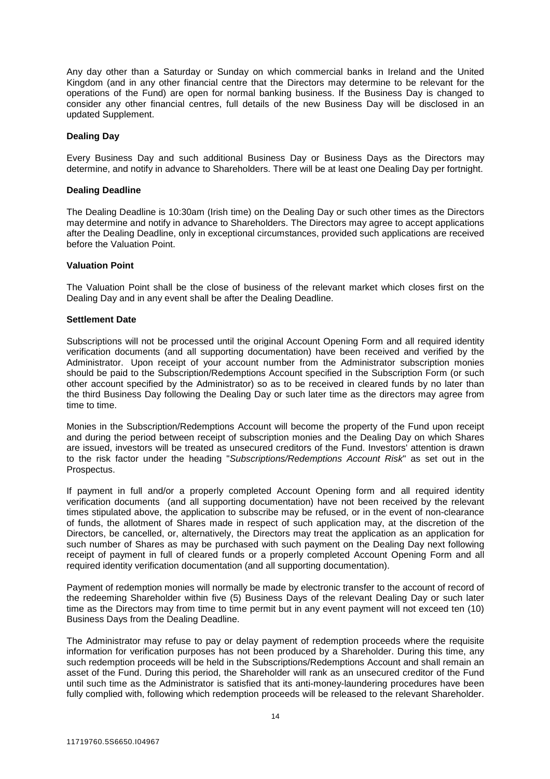Any day other than a Saturday or Sunday on which commercial banks in Ireland and the United Kingdom (and in any other financial centre that the Directors may determine to be relevant for the operations of the Fund) are open for normal banking business. If the Business Day is changed to consider any other financial centres, full details of the new Business Day will be disclosed in an updated Supplement.

# **Dealing Day**

Every Business Day and such additional Business Day or Business Days as the Directors may determine, and notify in advance to Shareholders. There will be at least one Dealing Day per fortnight.

# **Dealing Deadline**

The Dealing Deadline is 10:30am (Irish time) on the Dealing Day or such other times as the Directors may determine and notify in advance to Shareholders. The Directors may agree to accept applications after the Dealing Deadline, only in exceptional circumstances, provided such applications are received before the Valuation Point.

# **Valuation Point**

The Valuation Point shall be the close of business of the relevant market which closes first on the Dealing Day and in any event shall be after the Dealing Deadline.

# **Settlement Date**

Subscriptions will not be processed until the original Account Opening Form and all required identity verification documents (and all supporting documentation) have been received and verified by the Administrator. Upon receipt of your account number from the Administrator subscription monies should be paid to the Subscription/Redemptions Account specified in the Subscription Form (or such other account specified by the Administrator) so as to be received in cleared funds by no later than the third Business Day following the Dealing Day or such later time as the directors may agree from time to time.

Monies in the Subscription/Redemptions Account will become the property of the Fund upon receipt and during the period between receipt of subscription monies and the Dealing Day on which Shares are issued, investors will be treated as unsecured creditors of the Fund. Investors' attention is drawn to the risk factor under the heading "*Subscriptions/Redemptions Account Risk*" as set out in the Prospectus.

If payment in full and/or a properly completed Account Opening form and all required identity verification documents (and all supporting documentation) have not been received by the relevant times stipulated above, the application to subscribe may be refused, or in the event of non-clearance of funds, the allotment of Shares made in respect of such application may, at the discretion of the Directors, be cancelled, or, alternatively, the Directors may treat the application as an application for such number of Shares as may be purchased with such payment on the Dealing Day next following receipt of payment in full of cleared funds or a properly completed Account Opening Form and all required identity verification documentation (and all supporting documentation).

Payment of redemption monies will normally be made by electronic transfer to the account of record of the redeeming Shareholder within five (5) Business Days of the relevant Dealing Day or such later time as the Directors may from time to time permit but in any event payment will not exceed ten (10) Business Days from the Dealing Deadline.

The Administrator may refuse to pay or delay payment of redemption proceeds where the requisite information for verification purposes has not been produced by a Shareholder. During this time, any such redemption proceeds will be held in the Subscriptions/Redemptions Account and shall remain an asset of the Fund. During this period, the Shareholder will rank as an unsecured creditor of the Fund until such time as the Administrator is satisfied that its anti-money-laundering procedures have been fully complied with, following which redemption proceeds will be released to the relevant Shareholder.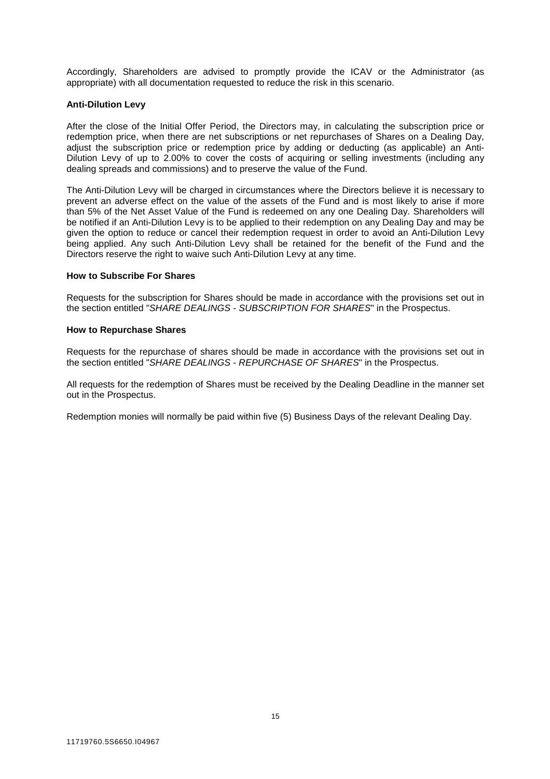Accordingly, Shareholders are advised to promptly provide the ICAV or the Administrator (as appropriate) with all documentation requested to reduce the risk in this scenario.

# **Anti-Dilution Levy**

After the close of the Initial Offer Period, the Directors may, in calculating the subscription price or redemption price, when there are net subscriptions or net repurchases of Shares on a Dealing Day, adjust the subscription price or redemption price by adding or deducting (as applicable) an Anti-Dilution Levy of up to 2.00% to cover the costs of acquiring or selling investments (including any dealing spreads and commissions) and to preserve the value of the Fund.

The Anti-Dilution Levy will be charged in circumstances where the Directors believe it is necessary to prevent an adverse effect on the value of the assets of the Fund and is most likely to arise if more than 5% of the Net Asset Value of the Fund is redeemed on any one Dealing Day. Shareholders will be notified if an Anti-Dilution Levy is to be applied to their redemption on any Dealing Day and may be given the option to reduce or cancel their redemption request in order to avoid an Anti-Dilution Levy being applied. Any such Anti-Dilution Levy shall be retained for the benefit of the Fund and the Directors reserve the right to waive such Anti-Dilution Levy at any time.

# **How to Subscribe For Shares**

Requests for the subscription for Shares should be made in accordance with the provisions set out in the section entitled "*SHARE DEALINGS - SUBSCRIPTION FOR SHARES*" in the Prospectus.

#### **How to Repurchase Shares**

Requests for the repurchase of shares should be made in accordance with the provisions set out in the section entitled "*SHARE DEALINGS - REPURCHASE OF SHARES*" in the Prospectus.

All requests for the redemption of Shares must be received by the Dealing Deadline in the manner set out in the Prospectus.

Redemption monies will normally be paid within five (5) Business Days of the relevant Dealing Day.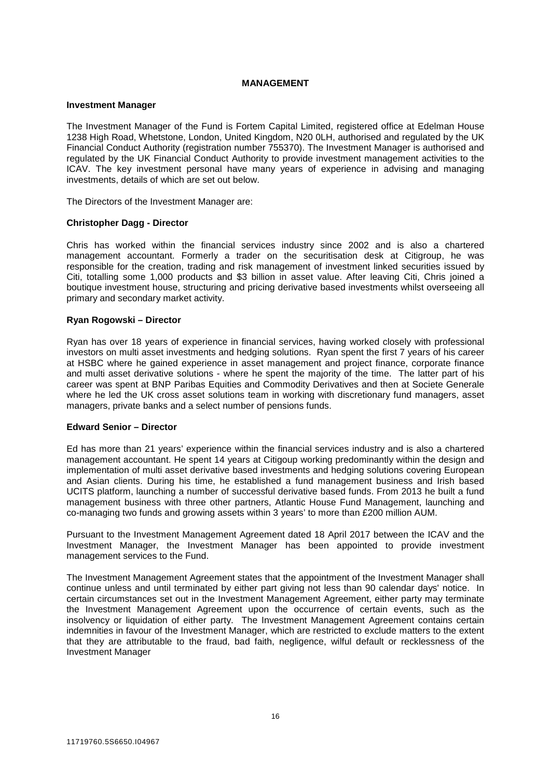# **MANAGEMENT**

#### **Investment Manager**

The Investment Manager of the Fund is Fortem Capital Limited, registered office at Edelman House 1238 High Road, Whetstone, London, United Kingdom, N20 0LH, authorised and regulated by the UK Financial Conduct Authority (registration number 755370). The Investment Manager is authorised and regulated by the UK Financial Conduct Authority to provide investment management activities to the ICAV. The key investment personal have many years of experience in advising and managing investments, details of which are set out below.

The Directors of the Investment Manager are:

#### **Christopher Dagg - Director**

Chris has worked within the financial services industry since 2002 and is also a chartered management accountant. Formerly a trader on the securitisation desk at Citigroup, he was responsible for the creation, trading and risk management of investment linked securities issued by Citi, totalling some 1,000 products and \$3 billion in asset value. After leaving Citi, Chris joined a boutique investment house, structuring and pricing derivative based investments whilst overseeing all primary and secondary market activity.

# **Ryan Rogowski – Director**

Ryan has over 18 years of experience in financial services, having worked closely with professional investors on multi asset investments and hedging solutions. Ryan spent the first 7 years of his career at HSBC where he gained experience in asset management and project finance, corporate finance and multi asset derivative solutions - where he spent the majority of the time. The latter part of his career was spent at BNP Paribas Equities and Commodity Derivatives and then at Societe Generale where he led the UK cross asset solutions team in working with discretionary fund managers, asset managers, private banks and a select number of pensions funds.

#### **Edward Senior – Director**

Ed has more than 21 years' experience within the financial services industry and is also a chartered management accountant. He spent 14 years at Citigoup working predominantly within the design and implementation of multi asset derivative based investments and hedging solutions covering European and Asian clients. During his time, he established a fund management business and Irish based UCITS platform, launching a number of successful derivative based funds. From 2013 he built a fund management business with three other partners, Atlantic House Fund Management, launching and co-managing two funds and growing assets within 3 years' to more than £200 million AUM.

Pursuant to the Investment Management Agreement dated 18 April 2017 between the ICAV and the Investment Manager, the Investment Manager has been appointed to provide investment management services to the Fund.

The Investment Management Agreement states that the appointment of the Investment Manager shall continue unless and until terminated by either part giving not less than 90 calendar days' notice. In certain circumstances set out in the Investment Management Agreement, either party may terminate the Investment Management Agreement upon the occurrence of certain events, such as the insolvency or liquidation of either party. The Investment Management Agreement contains certain indemnities in favour of the Investment Manager, which are restricted to exclude matters to the extent that they are attributable to the fraud, bad faith, negligence, wilful default or recklessness of the Investment Manager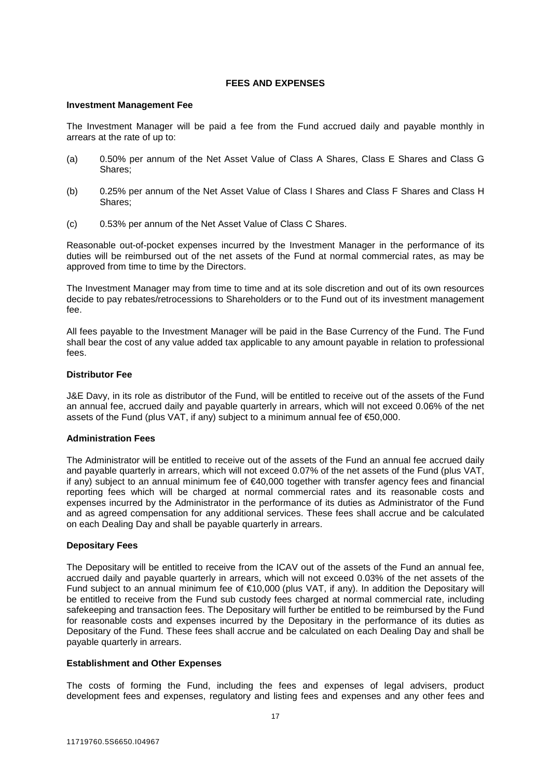# **FEES AND EXPENSES**

### **Investment Management Fee**

The Investment Manager will be paid a fee from the Fund accrued daily and payable monthly in arrears at the rate of up to:

- (a) 0.50% per annum of the Net Asset Value of Class A Shares, Class E Shares and Class G Shares<sup>:</sup>
- (b) 0.25% per annum of the Net Asset Value of Class I Shares and Class F Shares and Class H Shares;
- (c) 0.53% per annum of the Net Asset Value of Class C Shares.

Reasonable out-of-pocket expenses incurred by the Investment Manager in the performance of its duties will be reimbursed out of the net assets of the Fund at normal commercial rates, as may be approved from time to time by the Directors.

The Investment Manager may from time to time and at its sole discretion and out of its own resources decide to pay rebates/retrocessions to Shareholders or to the Fund out of its investment management fee.

All fees payable to the Investment Manager will be paid in the Base Currency of the Fund. The Fund shall bear the cost of any value added tax applicable to any amount payable in relation to professional fees.

# **Distributor Fee**

J&E Davy, in its role as distributor of the Fund, will be entitled to receive out of the assets of the Fund an annual fee, accrued daily and payable quarterly in arrears, which will not exceed 0.06% of the net assets of the Fund (plus VAT, if any) subject to a minimum annual fee of €50,000.

# **Administration Fees**

The Administrator will be entitled to receive out of the assets of the Fund an annual fee accrued daily and payable quarterly in arrears, which will not exceed 0.07% of the net assets of the Fund (plus VAT, if any) subject to an annual minimum fee of €40,000 together with transfer agency fees and financial reporting fees which will be charged at normal commercial rates and its reasonable costs and expenses incurred by the Administrator in the performance of its duties as Administrator of the Fund and as agreed compensation for any additional services. These fees shall accrue and be calculated on each Dealing Day and shall be payable quarterly in arrears.

# **Depositary Fees**

The Depositary will be entitled to receive from the ICAV out of the assets of the Fund an annual fee, accrued daily and payable quarterly in arrears, which will not exceed 0.03% of the net assets of the Fund subject to an annual minimum fee of €10,000 (plus VAT, if any). In addition the Depositary will be entitled to receive from the Fund sub custody fees charged at normal commercial rate, including safekeeping and transaction fees. The Depositary will further be entitled to be reimbursed by the Fund for reasonable costs and expenses incurred by the Depositary in the performance of its duties as Depositary of the Fund. These fees shall accrue and be calculated on each Dealing Day and shall be payable quarterly in arrears.

# **Establishment and Other Expenses**

The costs of forming the Fund, including the fees and expenses of legal advisers, product development fees and expenses, regulatory and listing fees and expenses and any other fees and